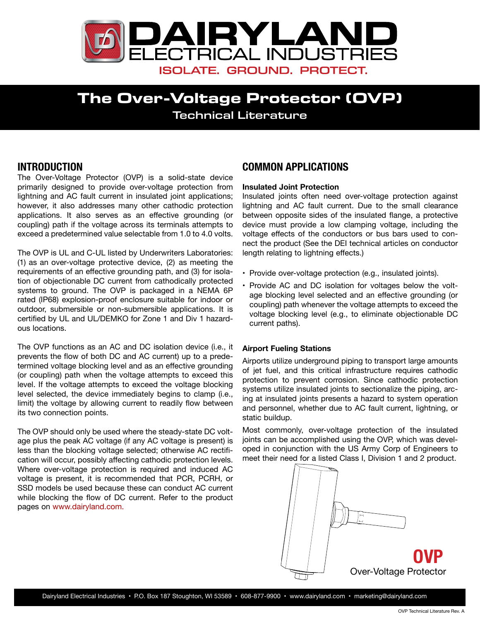

# **The Over-Voltage Protector (OVP)** Technical Literature

## **INTRODUCTION**

The Over-Voltage Protector (OVP) is a solid-state device primarily designed to provide over-voltage protection from lightning and AC fault current in insulated joint applications; however, it also addresses many other cathodic protection applications. It also serves as an effective grounding (or coupling) path if the voltage across its terminals attempts to exceed a predetermined value selectable from 1.0 to 4.0 volts.

The OVP is UL and C-UL listed by Underwriters Laboratories: (1) as an over-voltage protective device, (2) as meeting the requirements of an effective grounding path, and (3) for isolation of objectionable DC current from cathodically protected systems to ground. The OVP is packaged in a NEMA 6P rated (IP68) explosion-proof enclosure suitable for indoor or outdoor, submersible or non-submersible applications. It is certified by UL and UL/DEMKO for Zone 1 and Div 1 hazardous locations.

The OVP functions as an AC and DC isolation device (i.e., it prevents the flow of both DC and AC current) up to a predetermined voltage blocking level and as an effective grounding (or coupling) path when the voltage attempts to exceed this level. If the voltage attempts to exceed the voltage blocking level selected, the device immediately begins to clamp (i.e., limit) the voltage by allowing current to readily flow between its two connection points.

The OVP should only be used where the steady-state DC voltage plus the peak AC voltage (if any AC voltage is present) is less than the blocking voltage selected; otherwise AC rectification will occur, possibly affecting cathodic protection levels. Where over-voltage protection is required and induced AC voltage is present, it is recommended that PCR, PCRH, or SSD models be used because these can conduct AC current while blocking the flow of DC current. Refer to the product pages on <www.dairyland.com>.

## **COMMON APPLICATIONS**

### **Insulated Joint Protection**

Insulated joints often need over-voltage protection against lightning and AC fault current. Due to the small clearance between opposite sides of the insulated flange, a protective device must provide a low clamping voltage, including the voltage effects of the conductors or bus bars used to connect the product (See the DEI technical articles on [conductor](http://www.dairyland.com/applications/ConductorLengthIssues) [length](http://www.dairyland.com/applications/ConductorLengthIssues) relating to lightning effects.)

- Provide over-voltage protection (e.g., insulated joints).
- Provide AC and DC isolation for voltages below the voltage blocking level selected and an effective grounding (or coupling) path whenever the voltage attempts to exceed the voltage blocking level (e.g., to eliminate objectionable DC current paths).

### **Airport Fueling Stations**

Airports utilize underground piping to transport large amounts of jet fuel, and this critical infrastructure requires cathodic protection to prevent corrosion. Since cathodic protection systems utilize insulated joints to sectionalize the piping, arcing at insulated joints presents a hazard to system operation and personnel, whether due to AC fault current, lightning, or static buildup.

Most commonly, over-voltage protection of the insulated joints can be accomplished using the OVP, which was developed in conjunction with the US Army Corp of Engineers to meet their need for a listed Class I, Division 1 and 2 product.

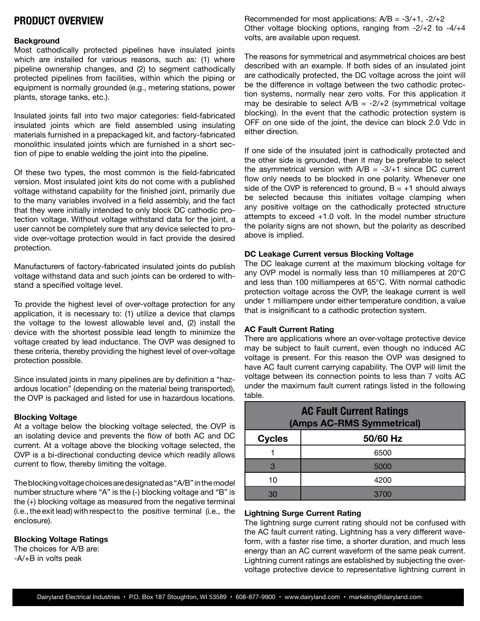## **PRODUCT OVERVIEW**

### **Background**

Most cathodically protected pipelines have insulated joints which are installed for various reasons, such as: (1) where pipeline ownership changes, and (2) to segment cathodically protected pipelines from facilities, within which the piping or equipment is normally grounded (e.g., metering stations, power plants, storage tanks, etc.).

Insulated joints fall into two major categories: field-fabricated insulated joints which are field assembled using insulating materials furnished in a prepackaged kit, and factory-fabricated monolithic insulated joints which are furnished in a short section of pipe to enable welding the joint into the pipeline.

Of these two types, the most common is the field-fabricated version. Most insulated joint kits do not come with a published voltage withstand capability for the finished joint, primarily due to the many variables involved in a field assembly, and the fact that they were initially intended to only block DC cathodic protection voltage. Without voltage withstand data for the joint, a user cannot be completely sure that any device selected to provide over-voltage protection would in fact provide the desired protection.

Manufacturers of factory-fabricated insulated joints do publish voltage withstand data and such joints can be ordered to withstand a specified voltage level.

To provide the highest level of over-voltage protection for any application, it is necessary to: (1) utilize a device that clamps the voltage to the lowest allowable level and, (2) install the device with the shortest possible lead length to minimize the voltage created by lead inductance. The OVP was designed to these criteria, thereby providing the highest level of over-voltage protection possible.

Since insulated joints in many pipelines are by definition a "hazardous location" (depending on the material being transported), the OVP is packaged and listed for use in hazardous locations.

#### **Blocking Voltage**

At a voltage below the blocking voltage selected, the OVP is an isolating device and prevents the flow of both AC and DC current. At a voltage above the blocking voltage selected, the OVP is a bi-directional conducting device which readily allows current to flow, thereby limiting the voltage.

Theblockingvoltagechoicesaredesignatedas"A/B" inthemodel number structure where "A" is the (-) blocking voltage and "B" is the (+) blocking voltage as measured from the negative terminal (i.e., the exit lead) with respect to the positive terminal (i.e., the enclosure).

### **Blocking Voltage Ratings**

The choices for A/B are: -A/+B in volts peak

Recommended for most applications:  $A/B = -3/+1$ ,  $-2/+2$ Other voltage blocking options, ranging from -2/+2 to -4/+4 volts, are available upon request.

The reasons for symmetrical and asymmetrical choices are best described with an example. If both sides of an insulated joint are cathodically protected, the DC voltage across the joint will be the difference in voltage between the two cathodic protection systems, normally near zero volts. For this application it may be desirable to select  $A/B = -2/+2$  (symmetrical voltage blocking). In the event that the cathodic protection system is OFF on one side of the joint, the device can block 2.0 Vdc in either direction.

If one side of the insulated joint is cathodically protected and the other side is grounded, then it may be preferable to select the asymmetrical version with  $A/B = -3/41$  since DC current flow only needs to be blocked in one polarity. Whenever one side of the OVP is referenced to ground,  $B = +1$  should always be selected because this initiates voltage clamping when any positive voltage on the cathodically protected structure attempts to exceed +1.0 volt. In the model number structure the polarity signs are not shown, but the polarity as described above is implied.

### **DC Leakage Current versus Blocking Voltage**

The DC leakage current at the maximum blocking voltage for any OVP model is normally less than 10 milliamperes at 20°C and less than 100 milliamperes at 65°C. With normal cathodic protection voltage across the OVP, the leakage current is well under 1 milliampere under either temperature condition, a value that is insignificant to a cathodic protection system.

### **AC Fault Current Rating**

There are applications where an over-voltage protective device may be subject to fault current, even though no induced AC voltage is present. For this reason the OVP was designed to have AC fault current carrying capability. The OVP will limit the voltage between its connection points to less than 7 volts AC under the maximum fault current ratings listed in the following table.

| <b>AC Fault Current Ratings</b><br>(Amps AC-RMS Symmetrical) |          |  |  |  |
|--------------------------------------------------------------|----------|--|--|--|
| <b>Cycles</b>                                                | 50/60 Hz |  |  |  |
|                                                              | 6500     |  |  |  |
| 3                                                            | 5000     |  |  |  |
| 10                                                           | 4200     |  |  |  |
| 30                                                           |          |  |  |  |

### **Lightning Surge Current Rating**

The lightning surge current rating should not be confused with the AC fault current rating. Lightning has a very different waveform, with a faster rise time, a shorter duration, and much less energy than an AC current waveform of the same peak current. Lightning current ratings are established by subjecting the overvoltage protective device to representative lightning current in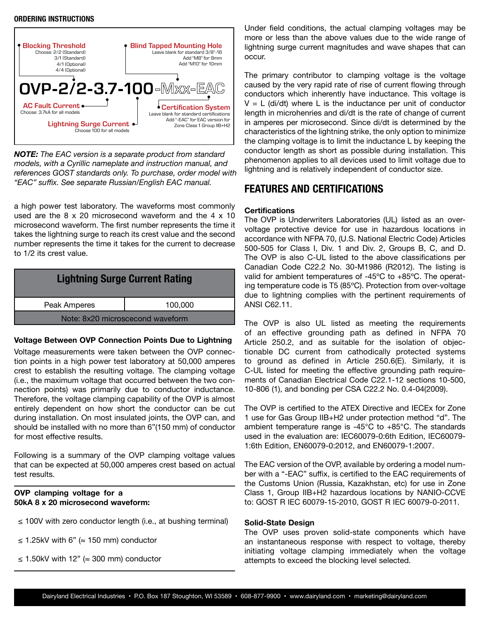### **ORDERING INSTRUCTIONS**



*NOTE: The EAC version is a separate product from standard models, with a Cyrillic nameplate and instruction manual, and references GOST standards only. To purchase, order model with "EAC" suffix. See separate Russian/English EAC manual.*

a high power test laboratory. The waveforms most commonly used are the 8 x 20 microsecond waveform and the 4 x 10 microsecond waveform. The first number represents the time it takes the lightning surge to reach its crest value and the second number represents the time it takes for the current to decrease to 1/2 its crest value.

| <b>Lightning Surge Current Rating</b> |         |  |  |  |  |
|---------------------------------------|---------|--|--|--|--|
| Peak Amperes                          | 100,000 |  |  |  |  |
| Note: 8x20 microscecond waveform      |         |  |  |  |  |

### **Voltage Between OVP Connection Points Due to Lightning**

Voltage measurements were taken between the OVP connection points in a high power test laboratory at 50,000 amperes crest to establish the resulting voltage. The clamping voltage (i.e., the maximum voltage that occurred between the two connection points) was primarily due to conductor inductance. Therefore, the voltage clamping capability of the OVP is almost entirely dependent on how short the conductor can be cut during installation. On most insulated joints, the OVP can, and should be installed with no more than 6"(150 mm) of conductor for most effective results.

Following is a summary of the OVP clamping voltage values that can be expected at 50,000 amperes crest based on actual test results.

### **OVP clamping voltage for a 50kA 8 x 20 microsecond waveform:**

- ≤ 100V with zero conductor length (i.e., at bushing terminal)
- ≤ 1.25kV with 6" (≈ 150 mm) conductor
- ≤ 1.50kV with 12" (≈ 300 mm) conductor

Under field conditions, the actual clamping voltages may be more or less than the above values due to the wide range of lightning surge current magnitudes and wave shapes that can occur.

The primary contributor to clamping voltage is the voltage caused by the very rapid rate of rise of current flowing through conductors which inherently have inductance. This voltage is  $V = L$  (di/dt) where L is the inductance per unit of conductor length in microhenries and di/dt is the rate of change of current in amperes per microsecond. Since di/dt is determined by the characteristics of the lightning strike, the only option to minimize the clamping voltage is to limit the inductance L by keeping the conductor length as short as possible during installation. This phenomenon applies to all devices used to limit voltage due to lightning and is relatively independent of conductor size.

## **FEATURES AND CERTIFICATIONS**

### **Certifications**

The OVP is Underwriters Laboratories (UL) listed as an overvoltage protective device for use in hazardous locations in accordance with NFPA 70, (U.S. National Electric Code) Articles 500-505 for Class I, Div. 1 and Div. 2, Groups B, C, and D. The OVP is also C-UL listed to the above classifications per Canadian Code C22.2 No. 30-M1986 (R2012). The listing is valid for ambient temperatures of -45ºC to +85ºC. The operating temperature code is T5 (85ºC). Protection from over-voltage due to lightning complies with the pertinent requirements of ANSI C62.11.

The OVP is also UL listed as meeting the requirements of an effective grounding path as defined in NFPA 70 Article 250.2, and as suitable for the isolation of objectionable DC current from cathodically protected systems to ground as defined in Article 250.6(E). Similarly, it is C-UL listed for meeting the effective grounding path requirements of Canadian Electrical Code C22.1-12 sections 10-500, 10-806 (1), and bonding per CSA C22.2 No. 0.4-04(2009).

The OVP is certified to the ATEX Directive and IECEx for Zone 1 use for Gas Group IIB+H2 under protection method "d". The ambient temperature range is -45°C to +85°C. The standards used in the evaluation are: IEC60079-0:6th Edition, IEC60079- 1:6th Edition, EN60079-0:2012, and EN60079-1:2007.

The EAC version of the OVP, available by ordering a model number with a "-EAC" suffix, is certified to the EAC requirements of the Customs Union (Russia, Kazakhstan, etc) for use in Zone Class 1, Group IIB+H2 hazardous locations by NANIO-CCVE to: GOST R IEC 60079-15-2010, GOST R IEC 60079-0-2011.

### **Solid-State Design**

The OVP uses proven solid-state components which have an instantaneous response with respect to voltage, thereby initiating voltage clamping immediately when the voltage attempts to exceed the blocking level selected.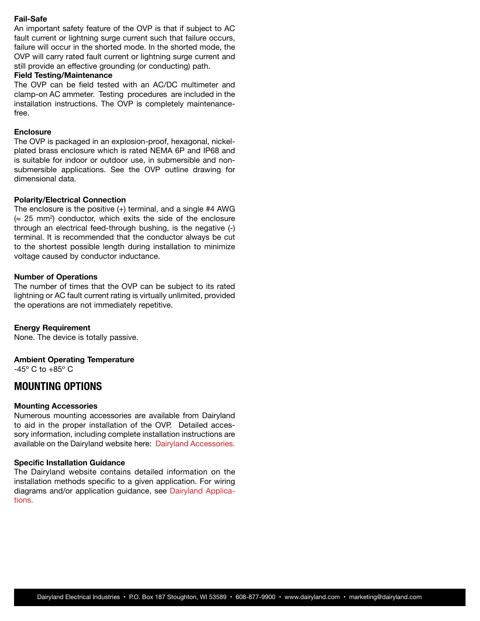#### **Fail-Safe**

An important safety feature of the OVP is that if subject to AC fault current or lightning surge current such that failure occurs, failure will occur in the shorted mode. In the shorted mode, the OVP will carry rated fault current or lightning surge current and still provide an effective grounding (or conducting) path.

### **Field Testing/Maintenance**

The OVP can be field tested with an AC/DC multimeter and clamp-on AC ammeter. Testing procedures are included in the installation instructions. The OVP is completely maintenancefree.

### **Enclosure**

The OVP is packaged in an explosion-proof, hexagonal, nickelplated brass enclosure which is rated NEMA 6P and IP68 and is suitable for indoor or outdoor use, in submersible and nonsubmersible applications. See the OVP outline drawing for dimensional data.

### **Polarity/Electrical Connection**

The enclosure is the positive (+) terminal, and a single #4 AWG  $($   $\approx$  25 mm<sup>2</sup>) conductor, which exits the side of the enclosure through an electrical feed-through bushing, is the negative (-) terminal. It is recommended that the conductor always be cut to the shortest possible length during installation to minimize voltage caused by conductor inductance.

### **Number of Operations**

The number of times that the OVP can be subject to its rated lightning or AC fault current rating is virtually unlimited, provided the operations are not immediately repetitive.

### **Energy Requirement**

None. The device is totally passive.

### **Ambient Operating Temperature**

-45º C to +85º C

### **MOUNTING OPTIONS**

### **Mounting Accessories**

Numerous mounting accessories are available from Dairyland to aid in the proper installation of the OVP. Detailed accessory information, including complete installation instructions are [a](http://www.dairyland.com/accessories)vailable on the Dairyland website here: [Dairyland Accessories.](http://www.dairyland.com/accessories)

#### **Specific Installation Guidance**

The Dairyland website contains detailed information on the installation methods specific to a given application. For wiring diagrams and/or application guidance, see [Dairyland Applica](http://www.dairyland.com/applications)[tions.](http://www.dairyland.com/applications)